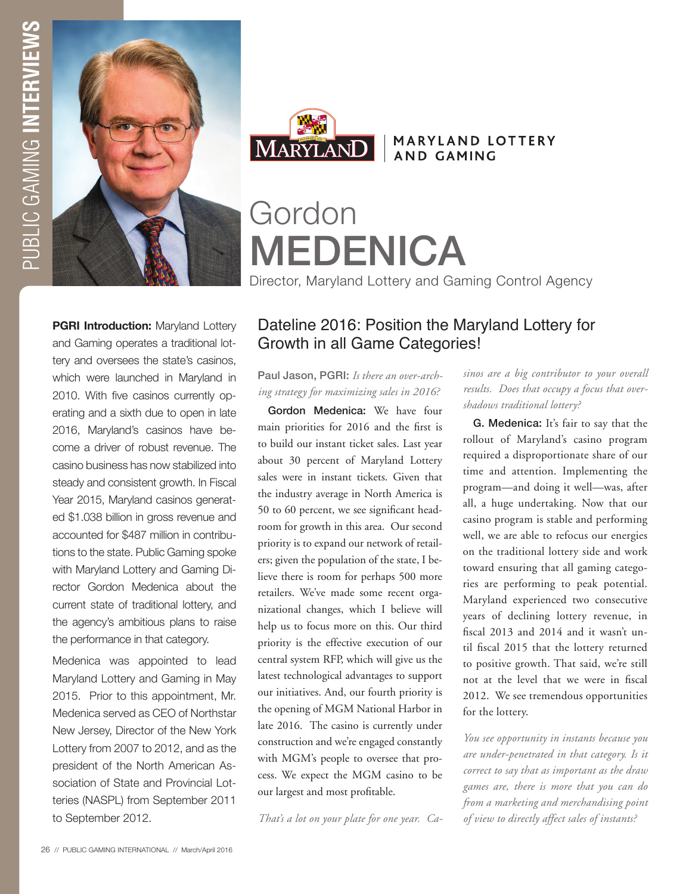



## MARYLAND LOTTERY **AND GAMING**

Gordon MEDENICA

Director, Maryland Lottery and Gaming Control Agency

**PGRI Introduction:** Maryland Lottery and Gaming operates a traditional lottery and oversees the state's casinos, which were launched in Maryland in 2010. With five casinos currently operating and a sixth due to open in late 2016, Maryland's casinos have become a driver of robust revenue. The casino business has now stabilized into steady and consistent growth. In Fiscal Year 2015, Maryland casinos generated \$1.038 billion in gross revenue and accounted for \$487 million in contributions to the state. Public Gaming spoke with Maryland Lottery and Gaming Director Gordon Medenica about the current state of traditional lottery, and the agency's ambitious plans to raise the performance in that category.

Medenica was appointed to lead Maryland Lottery and Gaming in May 2015. Prior to this appointment, Mr. Medenica served as CEO of Northstar New Jersey, Director of the New York Lottery from 2007 to 2012, and as the president of the North American Association of State and Provincial Lotteries (NASPL) from September 2011 to September 2012.

# Dateline 2016: Position the Maryland Lottery for Growth in all Game Categories!

Paul Jason, PGRI: *Is there an over-arching strategy for maximizing sales in 2016?*

Gordon Medenica: We have four main priorities for 2016 and the first is to build our instant ticket sales. Last year about 30 percent of Maryland Lottery sales were in instant tickets. Given that the industry average in North America is 50 to 60 percent, we see significant headroom for growth in this area. Our second priority is to expand our network of retailers; given the population of the state, I believe there is room for perhaps 500 more retailers. We've made some recent organizational changes, which I believe will help us to focus more on this. Our third priority is the effective execution of our central system RFP, which will give us the latest technological advantages to support our initiatives. And, our fourth priority is the opening of MGM National Harbor in late 2016. The casino is currently under construction and we're engaged constantly with MGM's people to oversee that process. We expect the MGM casino to be our largest and most profitable.

*That's a lot on your plate for one year. Ca-*

*sinos are a big contributor to your overall results. Does that occupy a focus that overshadows traditional lottery?*

G. Medenica: It's fair to say that the rollout of Maryland's casino program required a disproportionate share of our time and attention. Implementing the program—and doing it well—was, after all, a huge undertaking. Now that our casino program is stable and performing well, we are able to refocus our energies on the traditional lottery side and work toward ensuring that all gaming categories are performing to peak potential. Maryland experienced two consecutive years of declining lottery revenue, in fiscal 2013 and 2014 and it wasn't until fiscal 2015 that the lottery returned to positive growth. That said, we're still not at the level that we were in fiscal 2012. We see tremendous opportunities for the lottery.

*You see opportunity in instants because you are under-penetrated in that category. Is it correct to say that as important as the draw games are, there is more that you can do from a marketing and merchandising point of view to directly affect sales of instants?*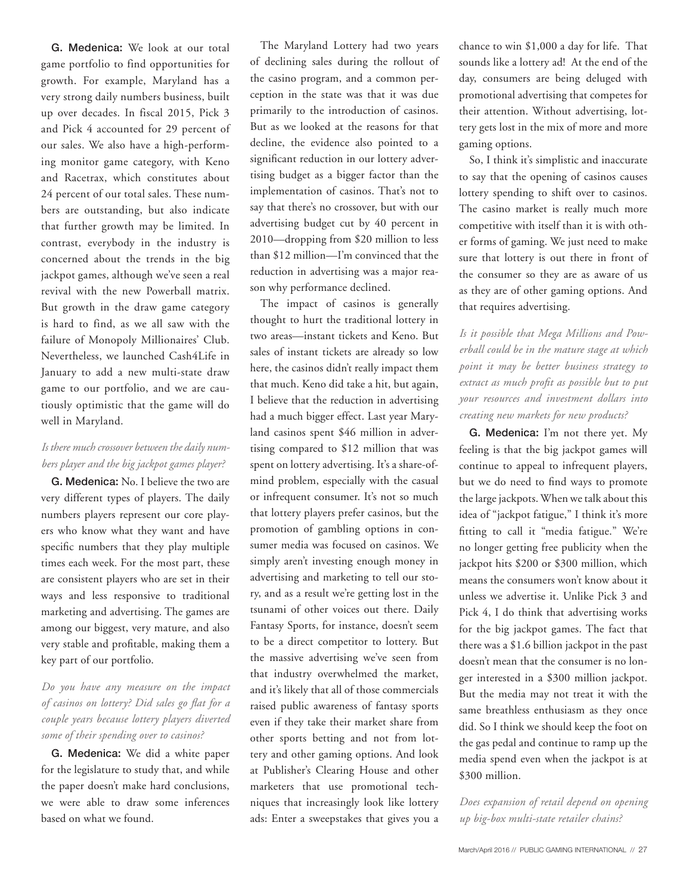G. Medenica: We look at our total game portfolio to find opportunities for growth. For example, Maryland has a very strong daily numbers business, built up over decades. In fiscal 2015, Pick 3 and Pick 4 accounted for 29 percent of our sales. We also have a high-performing monitor game category, with Keno and Racetrax, which constitutes about 24 percent of our total sales. These numbers are outstanding, but also indicate that further growth may be limited. In contrast, everybody in the industry is concerned about the trends in the big jackpot games, although we've seen a real revival with the new Powerball matrix. But growth in the draw game category is hard to find, as we all saw with the failure of Monopoly Millionaires' Club. Nevertheless, we launched Cash4Life in January to add a new multi-state draw game to our portfolio, and we are cautiously optimistic that the game will do well in Maryland.

### *Is there much crossover between the daily numbers player and the big jackpot games player?*

G. Medenica: No. I believe the two are very different types of players. The daily numbers players represent our core players who know what they want and have specific numbers that they play multiple times each week. For the most part, these are consistent players who are set in their ways and less responsive to traditional marketing and advertising. The games are among our biggest, very mature, and also very stable and profitable, making them a key part of our portfolio.

### *Do you have any measure on the impact of casinos on lottery? Did sales go flat for a couple years because lottery players diverted some of their spending over to casinos?*

G. Medenica: We did a white paper for the legislature to study that, and while the paper doesn't make hard conclusions, we were able to draw some inferences based on what we found.

The Maryland Lottery had two years of declining sales during the rollout of the casino program, and a common perception in the state was that it was due primarily to the introduction of casinos. But as we looked at the reasons for that decline, the evidence also pointed to a significant reduction in our lottery advertising budget as a bigger factor than the implementation of casinos. That's not to say that there's no crossover, but with our advertising budget cut by 40 percent in 2010—dropping from \$20 million to less than \$12 million—I'm convinced that the reduction in advertising was a major reason why performance declined.

The impact of casinos is generally thought to hurt the traditional lottery in two areas—instant tickets and Keno. But sales of instant tickets are already so low here, the casinos didn't really impact them that much. Keno did take a hit, but again, I believe that the reduction in advertising had a much bigger effect. Last year Maryland casinos spent \$46 million in advertising compared to \$12 million that was spent on lottery advertising. It's a share-ofmind problem, especially with the casual or infrequent consumer. It's not so much that lottery players prefer casinos, but the promotion of gambling options in consumer media was focused on casinos. We simply aren't investing enough money in advertising and marketing to tell our story, and as a result we're getting lost in the tsunami of other voices out there. Daily Fantasy Sports, for instance, doesn't seem to be a direct competitor to lottery. But the massive advertising we've seen from that industry overwhelmed the market, and it's likely that all of those commercials raised public awareness of fantasy sports even if they take their market share from other sports betting and not from lottery and other gaming options. And look at Publisher's Clearing House and other marketers that use promotional techniques that increasingly look like lottery ads: Enter a sweepstakes that gives you a chance to win \$1,000 a day for life. That sounds like a lottery ad! At the end of the day, consumers are being deluged with promotional advertising that competes for their attention. Without advertising, lottery gets lost in the mix of more and more gaming options.

So, I think it's simplistic and inaccurate to say that the opening of casinos causes lottery spending to shift over to casinos. The casino market is really much more competitive with itself than it is with other forms of gaming. We just need to make sure that lottery is out there in front of the consumer so they are as aware of us as they are of other gaming options. And that requires advertising.

*Is it possible that Mega Millions and Powerball could be in the mature stage at which point it may be better business strategy to extract as much profit as possible but to put your resources and investment dollars into creating new markets for new products?*

G. Medenica: I'm not there yet. My feeling is that the big jackpot games will continue to appeal to infrequent players, but we do need to find ways to promote the large jackpots. When we talk about this idea of "jackpot fatigue," I think it's more fitting to call it "media fatigue." We're no longer getting free publicity when the jackpot hits \$200 or \$300 million, which means the consumers won't know about it unless we advertise it. Unlike Pick 3 and Pick 4, I do think that advertising works for the big jackpot games. The fact that there was a \$1.6 billion jackpot in the past doesn't mean that the consumer is no longer interested in a \$300 million jackpot. But the media may not treat it with the same breathless enthusiasm as they once did. So I think we should keep the foot on the gas pedal and continue to ramp up the media spend even when the jackpot is at \$300 million.

*Does expansion of retail depend on opening up big-box multi-state retailer chains?*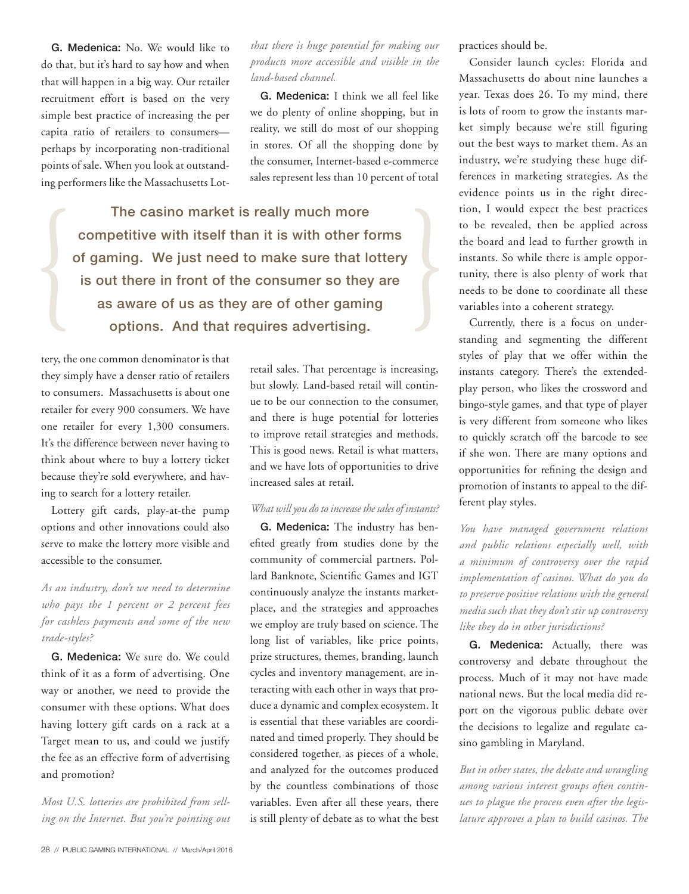G. Medenica: No. We would like to do that, but it's hard to say how and when that will happen in a big way. Our retailer recruitment effort is based on the very simple best practice of increasing the per capita ratio of retailers to consumers perhaps by incorporating non-traditional points of sale. When you look at outstanding performers like the Massachusetts Lot-

*that there is huge potential for making our products more accessible and visible in the land-based channel.* 

G. Medenica: I think we all feel like we do plenty of online shopping, but in reality, we still do most of our shopping in stores. Of all the shopping done by the consumer, Internet-based e-commerce sales represent less than 10 percent of total

The casino market is really much more competitive with itself than it is with other forms of gaming. We just need to make sure that lottery is out there in front of the consumer so they are as aware of us as they are of other gaming options. And that requires advertising.

tery, the one common denominator is that they simply have a denser ratio of retailers to consumers. Massachusetts is about one retailer for every 900 consumers. We have one retailer for every 1,300 consumers. It's the difference between never having to think about where to buy a lottery ticket because they're sold everywhere, and having to search for a lottery retailer.

Lottery gift cards, play-at-the pump options and other innovations could also serve to make the lottery more visible and accessible to the consumer.

## *As an industry, don't we need to determine who pays the 1 percent or 2 percent fees for cashless payments and some of the new trade-styles?*

G. Medenica: We sure do. We could think of it as a form of advertising. One way or another, we need to provide the consumer with these options. What does having lottery gift cards on a rack at a Target mean to us, and could we justify the fee as an effective form of advertising and promotion?

*Most U.S. lotteries are prohibited from selling on the Internet. But you're pointing out* 

retail sales. That percentage is increasing, but slowly. Land-based retail will continue to be our connection to the consumer, and there is huge potential for lotteries to improve retail strategies and methods. This is good news. Retail is what matters, and we have lots of opportunities to drive increased sales at retail.

#### *What will you do to increase the sales of instants?*

G. Medenica: The industry has benefited greatly from studies done by the community of commercial partners. Pollard Banknote, Scientific Games and IGT continuously analyze the instants marketplace, and the strategies and approaches we employ are truly based on science. The long list of variables, like price points, prize structures, themes, branding, launch cycles and inventory management, are interacting with each other in ways that produce a dynamic and complex ecosystem. It is essential that these variables are coordinated and timed properly. They should be considered together, as pieces of a whole, and analyzed for the outcomes produced by the countless combinations of those variables. Even after all these years, there is still plenty of debate as to what the best practices should be.

Consider launch cycles: Florida and Massachusetts do about nine launches a year. Texas does 26. To my mind, there is lots of room to grow the instants market simply because we're still figuring out the best ways to market them. As an industry, we're studying these huge differences in marketing strategies. As the evidence points us in the right direction, I would expect the best practices to be revealed, then be applied across the board and lead to further growth in instants. So while there is ample opportunity, there is also plenty of work that needs to be done to coordinate all these variables into a coherent strategy.

Currently, there is a focus on understanding and segmenting the different styles of play that we offer within the instants category. There's the extendedplay person, who likes the crossword and bingo-style games, and that type of player is very different from someone who likes to quickly scratch off the barcode to see if she won. There are many options and opportunities for refining the design and promotion of instants to appeal to the different play styles.

*You have managed government relations and public relations especially well, with a minimum of controversy over the rapid implementation of casinos. What do you do to preserve positive relations with the general media such that they don't stir up controversy like they do in other jurisdictions?* 

G. Medenica: Actually, there was controversy and debate throughout the process. Much of it may not have made national news. But the local media did report on the vigorous public debate over the decisions to legalize and regulate casino gambling in Maryland.

*But in other states, the debate and wrangling among various interest groups often continues to plague the process even after the legislature approves a plan to build casinos. The*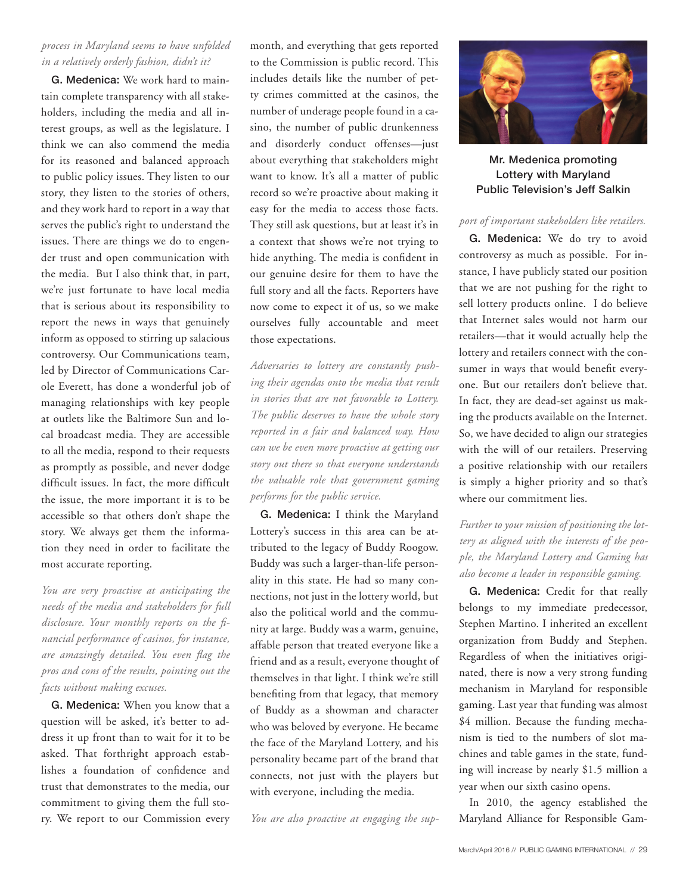#### *process in Maryland seems to have unfolded in a relatively orderly fashion, didn't it?*

G. Medenica: We work hard to maintain complete transparency with all stakeholders, including the media and all interest groups, as well as the legislature. I think we can also commend the media for its reasoned and balanced approach to public policy issues. They listen to our story, they listen to the stories of others, and they work hard to report in a way that serves the public's right to understand the issues. There are things we do to engender trust and open communication with the media. But I also think that, in part, we're just fortunate to have local media that is serious about its responsibility to report the news in ways that genuinely inform as opposed to stirring up salacious controversy. Our Communications team, led by Director of Communications Carole Everett, has done a wonderful job of managing relationships with key people at outlets like the Baltimore Sun and local broadcast media. They are accessible to all the media, respond to their requests as promptly as possible, and never dodge difficult issues. In fact, the more difficult the issue, the more important it is to be accessible so that others don't shape the story. We always get them the information they need in order to facilitate the most accurate reporting.

*You are very proactive at anticipating the needs of the media and stakeholders for full disclosure. Your monthly reports on the financial performance of casinos, for instance, are amazingly detailed. You even flag the pros and cons of the results, pointing out the facts without making excuses.* 

G. Medenica: When you know that a question will be asked, it's better to address it up front than to wait for it to be asked. That forthright approach establishes a foundation of confidence and trust that demonstrates to the media, our commitment to giving them the full story. We report to our Commission every month, and everything that gets reported to the Commission is public record. This includes details like the number of petty crimes committed at the casinos, the number of underage people found in a casino, the number of public drunkenness and disorderly conduct offenses—just about everything that stakeholders might want to know. It's all a matter of public record so we're proactive about making it easy for the media to access those facts. They still ask questions, but at least it's in a context that shows we're not trying to hide anything. The media is confident in our genuine desire for them to have the full story and all the facts. Reporters have now come to expect it of us, so we make ourselves fully accountable and meet those expectations.

*Adversaries to lottery are constantly pushing their agendas onto the media that result in stories that are not favorable to Lottery. The public deserves to have the whole story reported in a fair and balanced way. How can we be even more proactive at getting our story out there so that everyone understands the valuable role that government gaming performs for the public service.* 

G. Medenica: I think the Maryland Lottery's success in this area can be attributed to the legacy of Buddy Roogow. Buddy was such a larger-than-life personality in this state. He had so many connections, not just in the lottery world, but also the political world and the community at large. Buddy was a warm, genuine, affable person that treated everyone like a friend and as a result, everyone thought of themselves in that light. I think we're still benefiting from that legacy, that memory of Buddy as a showman and character who was beloved by everyone. He became the face of the Maryland Lottery, and his personality became part of the brand that connects, not just with the players but with everyone, including the media.

*You are also proactive at engaging the sup-*



Mr. Medenica promoting Lottery with Maryland Public Television's Jeff Salkin

#### *port of important stakeholders like retailers.*

G. Medenica: We do try to avoid controversy as much as possible. For instance, I have publicly stated our position that we are not pushing for the right to sell lottery products online. I do believe that Internet sales would not harm our retailers—that it would actually help the lottery and retailers connect with the consumer in ways that would benefit everyone. But our retailers don't believe that. In fact, they are dead-set against us making the products available on the Internet. So, we have decided to align our strategies with the will of our retailers. Preserving a positive relationship with our retailers is simply a higher priority and so that's where our commitment lies.

### *Further to your mission of positioning the lottery as aligned with the interests of the people, the Maryland Lottery and Gaming has also become a leader in responsible gaming.*

G. Medenica: Credit for that really belongs to my immediate predecessor, Stephen Martino. I inherited an excellent organization from Buddy and Stephen. Regardless of when the initiatives originated, there is now a very strong funding mechanism in Maryland for responsible gaming. Last year that funding was almost \$4 million. Because the funding mechanism is tied to the numbers of slot machines and table games in the state, funding will increase by nearly \$1.5 million a year when our sixth casino opens.

In 2010, the agency established the Maryland Alliance for Responsible Gam